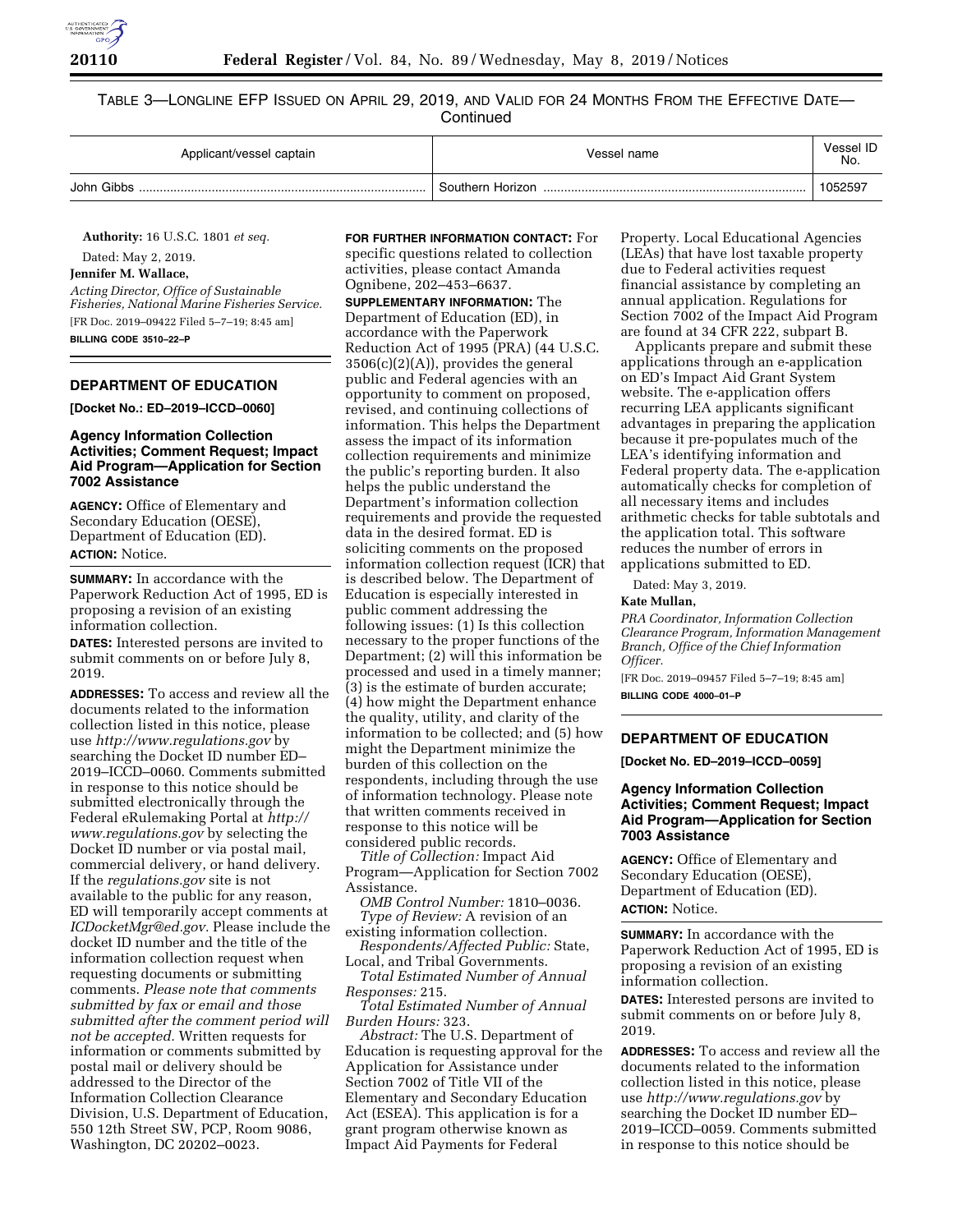

TABLE 3—LONGLINE EFP ISSUED ON APRIL 29, 2019, AND VALID FOR 24 MONTHS FROM THE EFFECTIVE DATE— **Continued** 

| Applicant/vessel captain | Vessel name      | Vessel ID<br>No. |
|--------------------------|------------------|------------------|
| John Gibbs               | Southern Horizon | 1052597          |

**Authority:** 16 U.S.C. 1801 *et seq.*  Dated: May 2, 2019.

**Jennifer M. Wallace,** 

*Acting Director, Office of Sustainable Fisheries, National Marine Fisheries Service.*  [FR Doc. 2019–09422 Filed 5–7–19; 8:45 am] **BILLING CODE 3510–22–P** 

# **DEPARTMENT OF EDUCATION**

**[Docket No.: ED–2019–ICCD–0060]** 

## **Agency Information Collection Activities; Comment Request; Impact Aid Program—Application for Section 7002 Assistance**

**AGENCY:** Office of Elementary and Secondary Education (OESE), Department of Education (ED). **ACTION:** Notice.

**SUMMARY:** In accordance with the Paperwork Reduction Act of 1995, ED is proposing a revision of an existing information collection.

**DATES:** Interested persons are invited to submit comments on or before July 8, 2019.

**ADDRESSES:** To access and review all the documents related to the information collection listed in this notice, please use *<http://www.regulations.gov>*by searching the Docket ID number ED– 2019–ICCD–0060. Comments submitted in response to this notice should be submitted electronically through the Federal eRulemaking Portal at *[http://](http://www.regulations.gov) [www.regulations.gov](http://www.regulations.gov)* by selecting the Docket ID number or via postal mail, commercial delivery, or hand delivery. If the *regulations.gov* site is not available to the public for any reason, ED will temporarily accept comments at *[ICDocketMgr@ed.gov.](mailto:ICDocketMgr@ed.gov)* Please include the docket ID number and the title of the information collection request when requesting documents or submitting comments. *Please note that comments submitted by fax or email and those submitted after the comment period will not be accepted.* Written requests for information or comments submitted by postal mail or delivery should be addressed to the Director of the Information Collection Clearance Division, U.S. Department of Education, 550 12th Street SW, PCP, Room 9086, Washington, DC 20202–0023.

### **FOR FURTHER INFORMATION CONTACT:** For

specific questions related to collection activities, please contact Amanda Ognibene, 202–453–6637.

**SUPPLEMENTARY INFORMATION:** The Department of Education (ED), in accordance with the Paperwork Reduction Act of 1995 (PRA) (44 U.S.C. 3506(c)(2)(A)), provides the general public and Federal agencies with an opportunity to comment on proposed, revised, and continuing collections of information. This helps the Department assess the impact of its information collection requirements and minimize the public's reporting burden. It also helps the public understand the Department's information collection requirements and provide the requested data in the desired format. ED is soliciting comments on the proposed information collection request (ICR) that is described below. The Department of Education is especially interested in public comment addressing the following issues: (1) Is this collection necessary to the proper functions of the Department; (2) will this information be processed and used in a timely manner; (3) is the estimate of burden accurate; (4) how might the Department enhance the quality, utility, and clarity of the information to be collected; and (5) how might the Department minimize the burden of this collection on the respondents, including through the use of information technology. Please note that written comments received in response to this notice will be considered public records.

*Title of Collection:* Impact Aid Program—Application for Section 7002 Assistance.

*OMB Control Number:* 1810–0036. *Type of Review:* A revision of an

existing information collection. *Respondents/Affected Public:* State,

Local, and Tribal Governments. *Total Estimated Number of Annual Responses:* 215.

*Total Estimated Number of Annual Burden Hours:* 323.

*Abstract:* The U.S. Department of Education is requesting approval for the Application for Assistance under Section 7002 of Title VII of the Elementary and Secondary Education Act (ESEA). This application is for a grant program otherwise known as Impact Aid Payments for Federal

Property. Local Educational Agencies (LEAs) that have lost taxable property due to Federal activities request financial assistance by completing an annual application. Regulations for Section 7002 of the Impact Aid Program are found at 34 CFR 222, subpart B.

Applicants prepare and submit these applications through an e-application on ED's Impact Aid Grant System website. The e-application offers recurring LEA applicants significant advantages in preparing the application because it pre-populates much of the LEA's identifying information and Federal property data. The e-application automatically checks for completion of all necessary items and includes arithmetic checks for table subtotals and the application total. This software reduces the number of errors in applications submitted to ED.

Dated: May 3, 2019.

#### **Kate Mullan,**

*PRA Coordinator, Information Collection Clearance Program, Information Management Branch, Office of the Chief Information Officer.* 

[FR Doc. 2019–09457 Filed 5–7–19; 8:45 am] **BILLING CODE 4000–01–P** 

#### **DEPARTMENT OF EDUCATION**

**[Docket No. ED–2019–ICCD–0059]** 

### **Agency Information Collection Activities; Comment Request; Impact Aid Program—Application for Section 7003 Assistance**

**AGENCY:** Office of Elementary and Secondary Education (OESE), Department of Education (ED). **ACTION:** Notice.

**SUMMARY:** In accordance with the Paperwork Reduction Act of 1995, ED is proposing a revision of an existing information collection.

**DATES:** Interested persons are invited to submit comments on or before July 8, 2019.

**ADDRESSES:** To access and review all the documents related to the information collection listed in this notice, please use *<http://www.regulations.gov>*by searching the Docket ID number ED-2019–ICCD–0059. Comments submitted in response to this notice should be